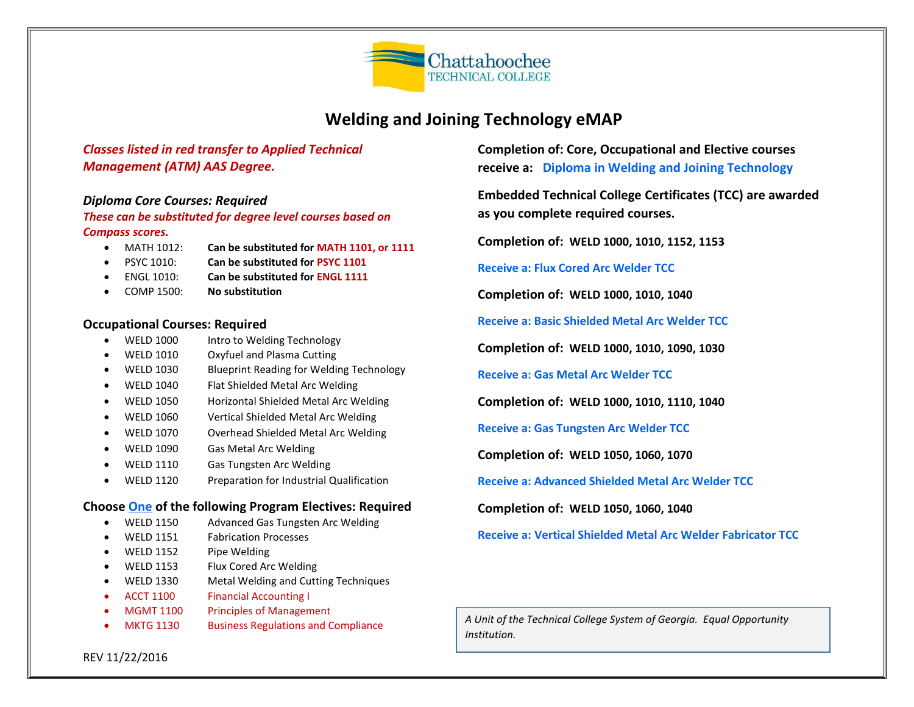

# **Welding and Joining Technology eMAP**

## *Classes listed in red transfer to Applied Technical Management (ATM) AAS Degree.*

#### *Diploma Core Courses: Required*

#### *These can be substituted for degree level courses based on Compass scores.*

- MATH 1012: **Can be substituted for MATH 1101, or 1111**
- PSYC 1010: **Can be substituted for PSYC 1101**
- ENGL 1010: **Can be substituted for ENGL 1111**
- COMP 1500: **No substitution**

#### **Occupational Courses: Required**

- WELD 1000 Intro to Welding Technology
- WELD 1010 Oxyfuel and Plasma Cutting
- WELD 1030 Blueprint Reading for Welding Technology
- WELD 1040 Flat Shielded Metal Arc Welding
- WELD 1050 Horizontal Shielded Metal Arc Welding
- WELD 1060 Vertical Shielded Metal Arc Welding
- WELD 1070 Overhead Shielded Metal Arc Welding
- WELD 1090 Gas Metal Arc Welding
- WELD 1110 Gas Tungsten Arc Welding
- WELD 1120 Preparation for Industrial Qualification

#### **Choose One of the following Program Electives: Required**

- WELD 1150 Advanced Gas Tungsten Arc Welding
- WELD 1151 Fabrication Processes
- WELD 1152 Pipe Welding
- WELD 1153 Flux Cored Arc Welding
- WELD 1330 Metal Welding and Cutting Techniques
- ACCT 1100 Financial Accounting I
- MGMT 1100 Principles of Management
- MKTG 1130 Business Regulations and Compliance

**Completion of: Core, Occupational and Elective courses receive a: Diploma in Welding and Joining Technology**

**Embedded Technical College Certificates (TCC) are awarded as you complete required courses.**

**Completion of: WELD 1000, 1010, 1152, 1153**

**Receive a: Flux Cored Arc Welder TCC**

**Completion of: WELD 1000, 1010, 1040**

**Receive a: Basic Shielded Metal Arc Welder TCC**

**Completion of: WELD 1000, 1010, 1090, 1030**

**Receive a: Gas Metal Arc Welder TCC**

**Completion of: WELD 1000, 1010, 1110, 1040**

**Receive a: Gas Tungsten Arc Welder TCC**

**Completion of: WELD 1050, 1060, 1070**

**Receive a: Advanced Shielded Metal Arc Welder TCC**

**Completion of: WELD 1050, 1060, 1040**

**Receive a: Vertical Shielded Metal Arc Welder Fabricator TCC**

**START HERE:** *Welding and Joining Technology Diploma A Unit of the Technical College System of Georgia. Equal Opportunity Apply for admission to school Institution.*

REV 11/22/2016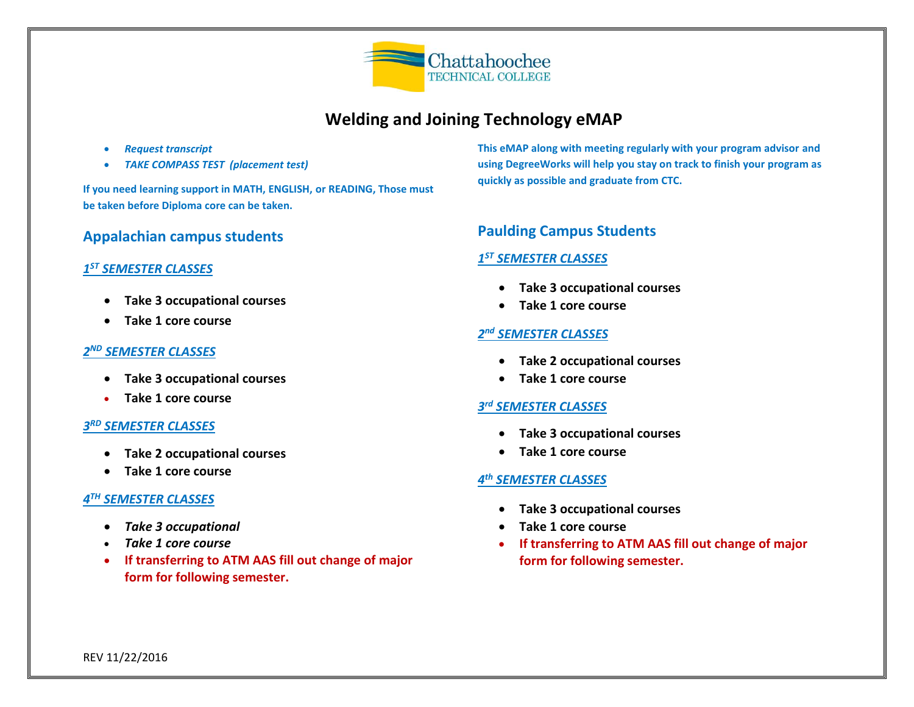

# **Welding and Joining Technology eMAP**

- *Request transcript*
- *TAKE COMPASS TEST (placement test)*

**If you need learning support in MATH, ENGLISH, or READING, Those must be taken before Diploma core can be taken.**

## **Appalachian campus students**

## *1 ST SEMESTER CLASSES*

- **Take 3 occupational courses**
- **Take 1 core course**

#### *2 ND SEMESTER CLASSES*

- **Take 3 occupational courses**
- **Take 1 core course**

## *3 RD SEMESTER CLASSES*

- **Take 2 occupational courses**
- **Take 1 core course**

## *4 TH SEMESTER CLASSES*

- *Take 3 occupational*
- *Take 1 core course*
- **If transferring to ATM AAS fill out change of major form for following semester.**

**This eMAP along with meeting regularly with your program advisor and using DegreeWorks will help you stay on track to finish your program as quickly as possible and graduate from CTC.**

# **Paulding Campus Students**

## *1 ST SEMESTER CLASSES*

- **Take 3 occupational courses**
- **Take 1 core course**

#### *2 nd SEMESTER CLASSES*

- **Take 2 occupational courses**
- **Take 1 core course**

#### *3 rd SEMESTER CLASSES*

- **Take 3 occupational courses**
- **Take 1 core course**

#### *4 th SEMESTER CLASSES*

- **Take 3 occupational courses**
- **Take 1 core course**
- **If transferring to ATM AAS fill out change of major form for following semester.**